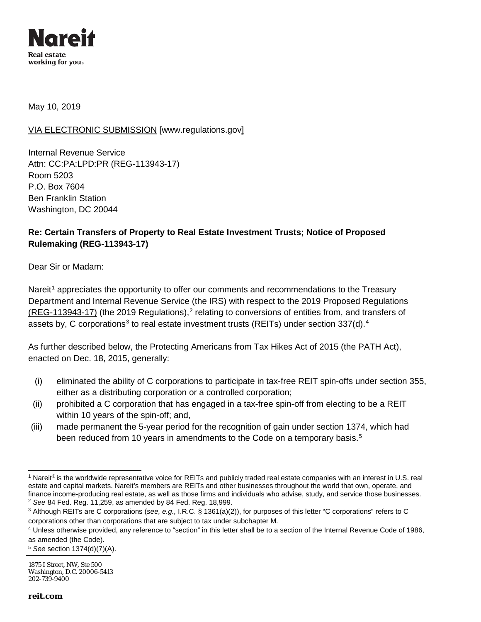

May 10, 2019

### VIA ELECTRONIC SUBMISSION [\[www.regulations.gov\]](http://www.regulations.gov/)

Internal Revenue Service Attn: CC:PA:LPD:PR (REG-113943-17) Room 5203 P.O. Box 7604 Ben Franklin Station Washington, DC 20044

## **Re: Certain Transfers of Property to Real Estate Investment Trusts; Notice of Proposed Rulemaking (REG-113943-17)**

Dear Sir or Madam:

Nareit<sup>[1](#page-0-0)</sup> appreciates the opportunity to offer our comments and recommendations to the Treasury Department and Internal Revenue Service (the IRS) with respect to the 2019 Proposed Regulations (REG-113943-17) (the [2](#page-0-1)019 Regulations),<sup>2</sup> relating to conversions of entities from, and transfers of assets by, C corporations<sup>[3](#page-0-2)</sup> to real estate investment trusts (REITs) under section  $337(d)$ .<sup>[4](#page-0-3)</sup>

As further described below, the Protecting Americans from Tax Hikes Act of 2015 (the PATH Act), enacted on Dec. 18, 2015, generally:

- (i) eliminated the ability of C corporations to participate in tax-free REIT spin-offs under section 355, either as a distributing corporation or a controlled corporation;
- (ii) prohibited a C corporation that has engaged in a tax-free spin-off from electing to be a REIT within 10 years of the spin-off; and,
- (iii) made permanent the 5-year period for the recognition of gain under section 1374, which had been reduced from 10 years in amendments to the Code on a temporary basis.<sup>[5](#page-0-4)</sup>

<span id="page-0-0"></span><sup>&</sup>lt;sup>1</sup> Nareit® is the worldwide representative voice for REITs and publicly traded real estate companies with an interest in U.S. real estate and capital markets. Nareit's members are REITs and other businesses throughout the world that own, operate, and finance income-producing real estate, as well as those firms and individuals who advise, study, and service those businesses. <sup>2</sup> *See* 84 Fed. Reg. 11,259, as amended by 84 Fed. Reg. 18,999.

<span id="page-0-2"></span><span id="page-0-1"></span><sup>3</sup> Although REITs are C corporations (*see, e.g.,* I.R.C. § 1361(a)(2)), for purposes of this letter "C corporations" refers to C corporations other than corporations that are subject to tax under subchapter M.

<span id="page-0-3"></span><sup>4</sup> Unless otherwise provided, any reference to "section" in this letter shall be to a section of the Internal Revenue Code of 1986, as amended (the Code).

<span id="page-0-4"></span><sup>5</sup> *See* section 1374(d)(7)(A).

<sup>1875</sup> I Street, NW, Ste 500 Washington, D.C. 20006-5413 202-739-9400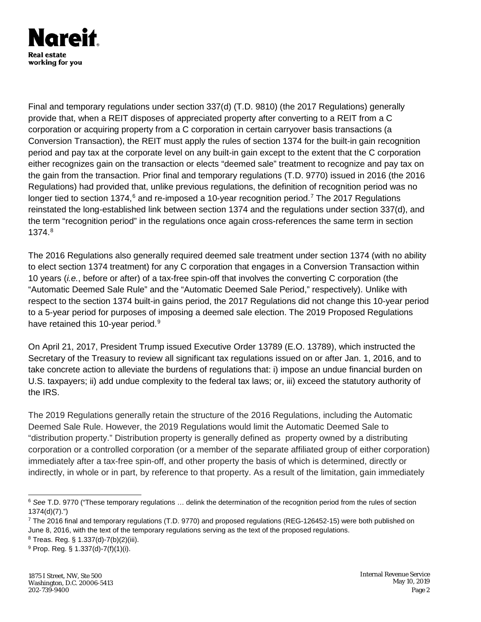

Final and temporary regulations under section 337(d) (T.D. 9810) (the 2017 Regulations) generally provide that, when a REIT disposes of appreciated property after converting to a REIT from a C corporation or acquiring property from a C corporation in certain carryover basis transactions (a Conversion Transaction), the REIT must apply the rules of section 1374 for the built-in gain recognition period and pay tax at the corporate level on any built-in gain except to the extent that the C corporation either recognizes gain on the transaction or elects "deemed sale" treatment to recognize and pay tax on the gain from the transaction. Prior final and temporary regulations (T.D. 9770) issued in 2016 (the 2016 Regulations) had provided that, unlike previous regulations, the definition of recognition period was no longer tied to section 13[7](#page-1-1)4, $6$  and re-imposed a 10-year recognition period.<sup>7</sup> The 2017 Regulations reinstated the long-established link between section 1374 and the regulations under section 337(d), and the term "recognition period" in the regulations once again cross-references the same term in section 1374.[8](#page-1-2)

The 2016 Regulations also generally required deemed sale treatment under section 1374 (with no ability to elect section 1374 treatment) for any C corporation that engages in a Conversion Transaction within 10 years (*i.e.*, before or after) of a tax-free spin-off that involves the converting C corporation (the "Automatic Deemed Sale Rule" and the "Automatic Deemed Sale Period," respectively). Unlike with respect to the section 1374 built-in gains period, the 2017 Regulations did not change this 10-year period to a 5-year period for purposes of imposing a deemed sale election. The 2019 Proposed Regulations have retained this 10-year period.<sup>[9](#page-1-3)</sup>

On April 21, 2017, President Trump issued Executive Order 13789 (E.O. 13789), which instructed the Secretary of the Treasury to review all significant tax regulations issued on or after Jan. 1, 2016, and to take concrete action to alleviate the burdens of regulations that: i) impose an undue financial burden on U.S. taxpayers; ii) add undue complexity to the federal tax laws; or, iii) exceed the statutory authority of the IRS.

The 2019 Regulations generally retain the structure of the 2016 Regulations, including the Automatic Deemed Sale Rule. However, the 2019 Regulations would limit the Automatic Deemed Sale to "distribution property." Distribution property is generally defined as property owned by a distributing corporation or a controlled corporation (or a member of the separate affiliated group of either corporation) immediately after a tax-free spin-off, and other property the basis of which is determined, directly or indirectly, in whole or in part, by reference to that property. As a result of the limitation, gain immediately

<span id="page-1-0"></span> <sup>6</sup> *See* T.D. 9770 ("These temporary regulations … delink the determination of the recognition period from the rules of section 1374(d)(7).")

<span id="page-1-1"></span> $^7$  The 2016 final and temporary regulations (T.D. 9770) and proposed regulations (REG-126452-15) were both published on June 8, 2016, with the text of the temporary regulations serving as the text of the proposed regulations.

<span id="page-1-2"></span><sup>8</sup> Treas. Reg. § 1.337(d)-7(b)(2)(iii).

<span id="page-1-3"></span><sup>9</sup> Prop. Reg. § 1.337(d)-7(f)(1)(i).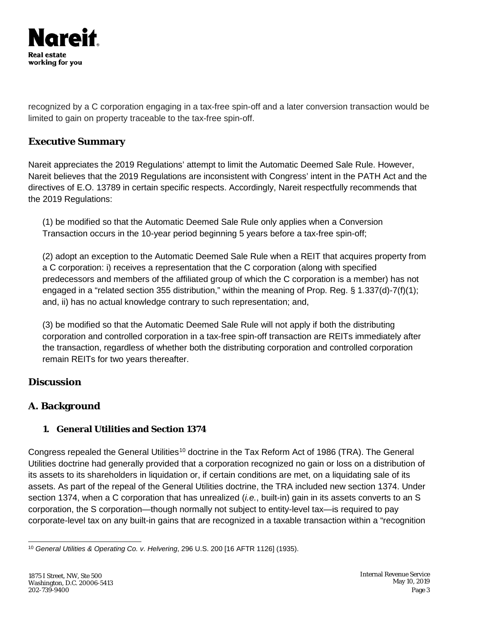

recognized by a C corporation engaging in a tax-free spin-off and a later conversion transaction would be limited to gain on property traceable to the tax-free spin-off.

# **Executive Summary**

Nareit appreciates the 2019 Regulations' attempt to limit the Automatic Deemed Sale Rule. However, Nareit believes that the 2019 Regulations are inconsistent with Congress' intent in the PATH Act and the directives of E.O. 13789 in certain specific respects. Accordingly, Nareit respectfully recommends that the 2019 Regulations:

(1) be modified so that the Automatic Deemed Sale Rule only applies when a Conversion Transaction occurs in the 10-year period beginning 5 years before a tax-free spin-off;

(2) adopt an exception to the Automatic Deemed Sale Rule when a REIT that acquires property from a C corporation: i) receives a representation that the C corporation (along with specified predecessors and members of the affiliated group of which the C corporation is a member) has not engaged in a "related section 355 distribution," within the meaning of Prop. Reg. § 1.337(d)-7(f)(1); and, ii) has no actual knowledge contrary to such representation; and,

(3) be modified so that the Automatic Deemed Sale Rule will not apply if both the distributing corporation and controlled corporation in a tax-free spin-off transaction are REITs immediately after the transaction, regardless of whether both the distributing corporation and controlled corporation remain REITs for two years thereafter.

# **Discussion**

# **A***.* **Background**

# **1. General Utilities and Section 1374**

Congress repealed the General Utilities<sup>[10](#page-2-0)</sup> doctrine in the Tax Reform Act of 1986 (TRA). The General Utilities doctrine had generally provided that a corporation recognized no gain or loss on a distribution of its assets to its shareholders in liquidation or, if certain conditions are met, on a liquidating sale of its assets. As part of the repeal of the General Utilities doctrine, the TRA included new section 1374. Under section 1374, when a C corporation that has unrealized (*i.e.*, built-in) gain in its assets converts to an S corporation, the S corporation—though normally not subject to entity-level tax—is required to pay corporate-level tax on any built-in gains that are recognized in a taxable transaction within a "recognition

<span id="page-2-0"></span> <sup>10</sup> *General Utilities & Operating Co. v. Helvering*, 296 U.S. 200 [16 AFTR 1126] (1935).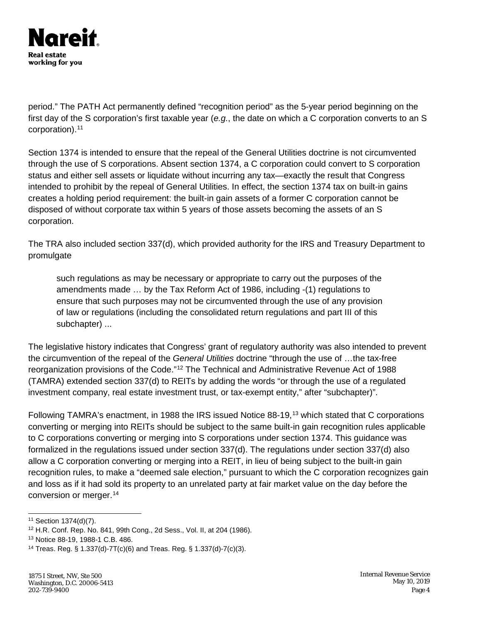

period." The PATH Act permanently defined "recognition period" as the 5-year period beginning on the first day of the S corporation's first taxable year (*e.g.*, the date on which a C corporation converts to an S corporation).<sup>[11](#page-3-0)</sup>

Section 1374 is intended to ensure that the repeal of the General Utilities doctrine is not circumvented through the use of S corporations. Absent section 1374, a C corporation could convert to S corporation status and either sell assets or liquidate without incurring any tax—exactly the result that Congress intended to prohibit by the repeal of General Utilities. In effect, the section 1374 tax on built-in gains creates a holding period requirement: the built-in gain assets of a former C corporation cannot be disposed of without corporate tax within 5 years of those assets becoming the assets of an S corporation.

The TRA also included section 337(d), which provided authority for the IRS and Treasury Department to promulgate

such regulations as may be necessary or appropriate to carry out the purposes of the amendments made … by the Tax Reform Act of 1986, including -(1) regulations to ensure that such purposes may not be circumvented through the use of any provision of law or regulations (including the consolidated return regulations and part III of this subchapter) ...

The legislative history indicates that Congress' grant of regulatory authority was also intended to prevent the circumvention of the repeal of the *General Utilities* doctrine "through the use of …the tax-free reorganization provisions of the Code."[12](#page-3-1) The Technical and Administrative Revenue Act of 1988 (TAMRA) extended section 337(d) to REITs by adding the words "or through the use of a regulated investment company, real estate investment trust, or tax-exempt entity," after "subchapter)".

Following TAMRA's enactment, in 1988 the IRS issued Notice 88-19,<sup>[13](#page-3-2)</sup> which stated that C corporations converting or merging into REITs should be subject to the same built-in gain recognition rules applicable to C corporations converting or merging into S corporations under section 1374. This guidance was formalized in the regulations issued under section 337(d). The regulations under section 337(d) also allow a C corporation converting or merging into a REIT, in lieu of being subject to the built-in gain recognition rules, to make a "deemed sale election," pursuant to which the C corporation recognizes gain and loss as if it had sold its property to an unrelated party at fair market value on the day before the conversion or merger.[14](#page-3-3)

<span id="page-3-0"></span> <sup>11</sup> Section 1374(d)(7).

<span id="page-3-1"></span><sup>12</sup> H.R. Conf. Rep. No. 841, 99th Cong., 2d Sess., Vol. II, at 204 (1986).

<span id="page-3-2"></span><sup>13</sup> Notice 88-19, 1988-1 C.B. 486.

<span id="page-3-3"></span><sup>14</sup> Treas. Reg. § 1.337(d)-7T(c)(6) and Treas. Reg. § 1.337(d)-7(c)(3).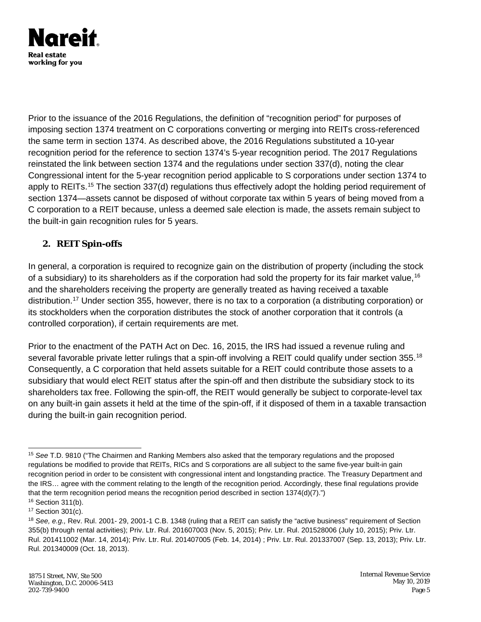

Prior to the issuance of the 2016 Regulations, the definition of "recognition period" for purposes of imposing section 1374 treatment on C corporations converting or merging into REITs cross-referenced the same term in section 1374. As described above, the 2016 Regulations substituted a 10-year recognition period for the reference to section 1374's 5-year recognition period. The 2017 Regulations reinstated the link between section 1374 and the regulations under section 337(d), noting the clear Congressional intent for the 5-year recognition period applicable to S corporations under section 1374 to apply to REITs.<sup>[15](#page-4-0)</sup> The section 337(d) regulations thus effectively adopt the holding period requirement of section 1374—assets cannot be disposed of without corporate tax within 5 years of being moved from a C corporation to a REIT because, unless a deemed sale election is made, the assets remain subject to the built-in gain recognition rules for 5 years.

#### **2. REIT Spin-offs**

In general, a corporation is required to recognize gain on the distribution of property (including the stock of a subsidiary) to its shareholders as if the corporation had sold the property for its fair market value,<sup>[16](#page-4-1)</sup> and the shareholders receiving the property are generally treated as having received a taxable distribution.[17](#page-4-2) Under section 355, however, there is no tax to a corporation (a distributing corporation) or its stockholders when the corporation distributes the stock of another corporation that it controls (a controlled corporation), if certain requirements are met.

Prior to the enactment of the PATH Act on Dec. 16, 2015, the IRS had issued a revenue ruling and several favorable private letter rulings that a spin-off involving a REIT could qualify under section 355.<sup>[18](#page-4-3)</sup> Consequently, a C corporation that held assets suitable for a REIT could contribute those assets to a subsidiary that would elect REIT status after the spin-off and then distribute the subsidiary stock to its shareholders tax free. Following the spin-off, the REIT would generally be subject to corporate-level tax on any built-in gain assets it held at the time of the spin-off, if it disposed of them in a taxable transaction during the built-in gain recognition period.

<span id="page-4-0"></span> <sup>15</sup> *See* T.D. 9810 ("The Chairmen and Ranking Members also asked that the temporary regulations and the proposed regulations be modified to provide that REITs, RICs and S corporations are all subject to the same five-year built-in gain recognition period in order to be consistent with congressional intent and longstanding practice. The Treasury Department and the IRS… agree with the comment relating to the length of the recognition period. Accordingly, these final regulations provide that the term recognition period means the recognition period described in section 1374(d)(7).")

<span id="page-4-1"></span><sup>16</sup> Section 311(b). <sup>17</sup> Section 301(c).

<span id="page-4-3"></span><span id="page-4-2"></span><sup>18</sup> *See, e.g.,* Rev. Rul. 2001- 29, 2001-1 C.B. 1348 (ruling that a REIT can satisfy the "active business" requirement of Section 355(b) through rental activities); Priv. Ltr. Rul. 201607003 (Nov. 5, 2015); Priv. Ltr. Rul. 201528006 (July 10, 2015); Priv. Ltr. Rul. 201411002 (Mar. 14, 2014); Priv. Ltr. Rul. 201407005 (Feb. 14, 2014) ; Priv. Ltr. Rul. 201337007 (Sep. 13, 2013); Priv. Ltr. Rul. 201340009 (Oct. 18, 2013).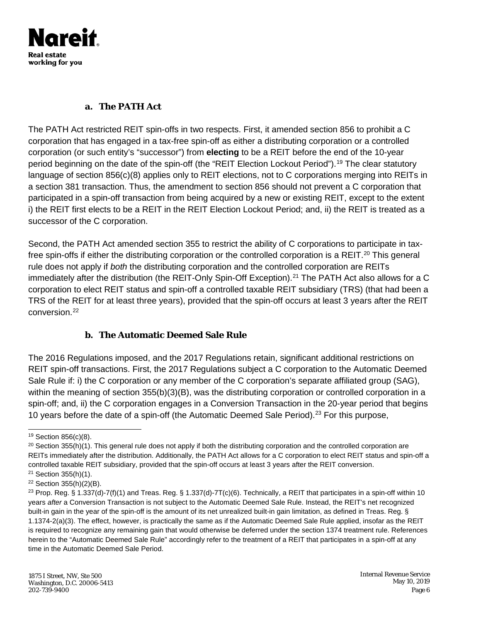

#### **a. The PATH Act**

The PATH Act restricted REIT spin-offs in two respects. First, it amended section 856 to prohibit a C corporation that has engaged in a tax-free spin-off as either a distributing corporation or a controlled corporation (or such entity's "successor") from **electing** to be a REIT before the end of the 10-year period beginning on the date of the spin-off (the "REIT Election Lockout Period").<sup>[19](#page-5-0)</sup> The clear statutory language of section 856(c)(8) applies only to REIT elections, not to C corporations merging into REITs in a section 381 transaction. Thus, the amendment to section 856 should not prevent a C corporation that participated in a spin-off transaction from being acquired by a new or existing REIT, except to the extent i) the REIT first elects to be a REIT in the REIT Election Lockout Period; and, ii) the REIT is treated as a successor of the C corporation.

Second, the PATH Act amended section 355 to restrict the ability of C corporations to participate in tax-free spin-offs if either the distributing corporation or the controlled corporation is a REIT.<sup>[20](#page-5-1)</sup> This general rule does not apply if *both* the distributing corporation and the controlled corporation are REITs immediately after the distribution (the REIT-Only Spin-Off Exception).<sup>[21](#page-5-2)</sup> The PATH Act also allows for a C corporation to elect REIT status and spin-off a controlled taxable REIT subsidiary (TRS) (that had been a TRS of the REIT for at least three years), provided that the spin-off occurs at least 3 years after the REIT conversion.<sup>[22](#page-5-3)</sup>

#### **b. The Automatic Deemed Sale Rule**

The 2016 Regulations imposed, and the 2017 Regulations retain, significant additional restrictions on REIT spin-off transactions. First, the 2017 Regulations subject a C corporation to the Automatic Deemed Sale Rule if: i) the C corporation or any member of the C corporation's separate affiliated group (SAG), within the meaning of section 355(b)(3)(B), was the distributing corporation or controlled corporation in a spin-off; and, ii) the C corporation engages in a Conversion Transaction in the 20-year period that begins 10 years before the date of a spin-off (the Automatic Deemed Sale Period).<sup>[23](#page-5-4)</sup> For this purpose,

<span id="page-5-0"></span> <sup>19</sup> Section 856(c)(8).

<span id="page-5-1"></span> $20$  Section 355(h)(1). This general rule does not apply if both the distributing corporation and the controlled corporation are REITs immediately after the distribution. Additionally, the PATH Act allows for a C corporation to elect REIT status and spin-off a controlled taxable REIT subsidiary, provided that the spin-off occurs at least 3 years after the REIT conversion. <sup>21</sup> Section 355(h)(1).

<span id="page-5-3"></span><span id="page-5-2"></span><sup>22</sup> Section 355(h)(2)(B).

<span id="page-5-4"></span><sup>&</sup>lt;sup>23</sup> Prop. Reg. § 1.337(d)-7(f)(1) and Treas. Reg. § 1.337(d)-7T(c)(6). Technically, a REIT that participates in a spin-off within 10 years *after* a Conversion Transaction is not subject to the Automatic Deemed Sale Rule. Instead, the REIT's net recognized built-in gain in the year of the spin-off is the amount of its net unrealized built-in gain limitation, as defined in Treas. Reg. § 1.1374-2(a)(3). The effect, however, is practically the same as if the Automatic Deemed Sale Rule applied, insofar as the REIT is required to recognize any remaining gain that would otherwise be deferred under the section 1374 treatment rule. References herein to the "Automatic Deemed Sale Rule" accordingly refer to the treatment of a REIT that participates in a spin-off at any time in the Automatic Deemed Sale Period.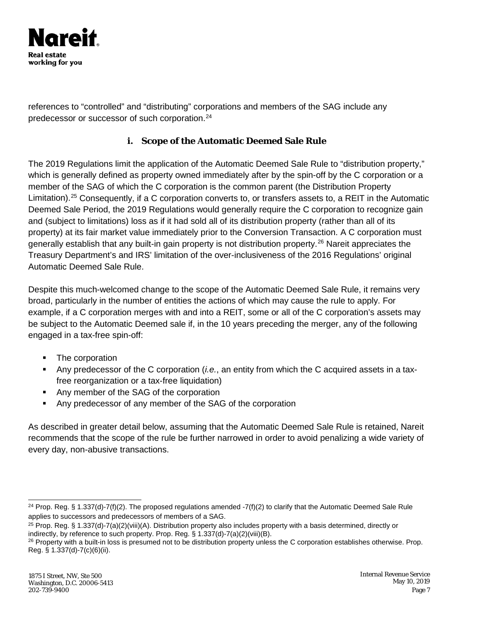

references to "controlled" and "distributing" corporations and members of the SAG include any predecessor or successor of such corporation.[24](#page-6-0)

## **i. Scope of the Automatic Deemed Sale Rule**

The 2019 Regulations limit the application of the Automatic Deemed Sale Rule to "distribution property," which is generally defined as property owned immediately after by the spin-off by the C corporation or a member of the SAG of which the C corporation is the common parent (the Distribution Property Limitation).<sup>[25](#page-6-1)</sup> Consequently, if a C corporation converts to, or transfers assets to, a REIT in the Automatic Deemed Sale Period, the 2019 Regulations would generally require the C corporation to recognize gain and (subject to limitations) loss as if it had sold all of its distribution property (rather than all of its property) at its fair market value immediately prior to the Conversion Transaction. A C corporation must generally establish that any built-in gain property is not distribution property.[26](#page-6-2) Nareit appreciates the Treasury Department's and IRS' limitation of the over-inclusiveness of the 2016 Regulations' original Automatic Deemed Sale Rule.

Despite this much-welcomed change to the scope of the Automatic Deemed Sale Rule, it remains very broad, particularly in the number of entities the actions of which may cause the rule to apply. For example, if a C corporation merges with and into a REIT, some or all of the C corporation's assets may be subject to the Automatic Deemed sale if, in the 10 years preceding the merger, any of the following engaged in a tax-free spin-off:

- The corporation
- Any predecessor of the C corporation (*i.e.*, an entity from which the C acquired assets in a taxfree reorganization or a tax-free liquidation)
- Any member of the SAG of the corporation
- Any predecessor of any member of the SAG of the corporation

As described in greater detail below, assuming that the Automatic Deemed Sale Rule is retained, Nareit recommends that the scope of the rule be further narrowed in order to avoid penalizing a wide variety of every day, non-abusive transactions.

<span id="page-6-0"></span><sup>&</sup>lt;sup>24</sup> Prop. Reg. § 1.337(d)-7(f)(2). The proposed regulations amended -7(f)(2) to clarify that the Automatic Deemed Sale Rule applies to successors and predecessors of members of a SAG.

<span id="page-6-1"></span><sup>&</sup>lt;sup>25</sup> Prop. Reg. § 1.337(d)-7(a)(2)(viii)(A). Distribution property also includes property with a basis determined, directly or indirectly, by reference to such property. Prop. Reg. § 1.337(d)-7(a)(2)(viii)(B).

<span id="page-6-2"></span><sup>&</sup>lt;sup>26</sup> Property with a built-in loss is presumed not to be distribution property unless the C corporation establishes otherwise. Prop. Reg. § 1.337(d)-7(c)(6)(ii).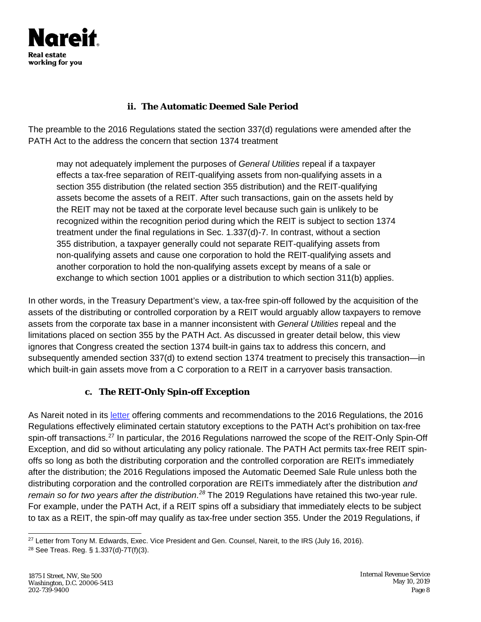

## **ii. The Automatic Deemed Sale Period**

The preamble to the 2016 Regulations stated the section 337(d) regulations were amended after the PATH Act to the address the concern that section 1374 treatment

may not adequately implement the purposes of *General Utilities* repeal if a taxpayer effects a tax-free separation of REIT-qualifying assets from non-qualifying assets in a section 355 distribution (the related section 355 distribution) and the REIT-qualifying assets become the assets of a REIT. After such transactions, gain on the assets held by the REIT may not be taxed at the corporate level because such gain is unlikely to be recognized within the recognition period during which the REIT is subject to section 1374 treatment under the final regulations in Sec. 1.337(d)-7. In contrast, without a section 355 distribution, a taxpayer generally could not separate REIT-qualifying assets from non-qualifying assets and cause one corporation to hold the REIT-qualifying assets and another corporation to hold the non-qualifying assets except by means of a sale or exchange to which section 1001 applies or a distribution to which section 311(b) applies.

In other words, in the Treasury Department's view, a tax-free spin-off followed by the acquisition of the assets of the distributing or controlled corporation by a REIT would arguably allow taxpayers to remove assets from the corporate tax base in a manner inconsistent with *General Utilities* repeal and the limitations placed on section 355 by the PATH Act. As discussed in greater detail below, this view ignores that Congress created the section 1374 built-in gains tax to address this concern, and subsequently amended section 337(d) to extend section 1374 treatment to precisely this transaction—in which built-in gain assets move from a C corporation to a REIT in a carryover basis transaction.

# **c. The REIT-Only Spin-off Exception**

As Nareit noted in its [letter](https://www.reit.com/sites/default/files/NAREIT-Submission-on-Proposed-337(d)-Regulations(7-19-16).pdf) offering comments and recommendations to the 2016 Regulations, the 2016 Regulations effectively eliminated certain statutory exceptions to the PATH Act's prohibition on tax-free spin-off transactions.<sup>[27](#page-7-0)</sup> In particular, the 2016 Regulations narrowed the scope of the REIT-Only Spin-Off Exception, and did so without articulating any policy rationale. The PATH Act permits tax-free REIT spinoffs so long as both the distributing corporation and the controlled corporation are REITs immediately after the distribution; the 2016 Regulations imposed the Automatic Deemed Sale Rule unless both the distributing corporation and the controlled corporation are REITs immediately after the distribution *and remain so for two years after the distribution*. *[28](#page-7-1)* The 2019 Regulations have retained this two-year rule. For example, under the PATH Act, if a REIT spins off a subsidiary that immediately elects to be subject to tax as a REIT, the spin-off may qualify as tax-free under section 355. Under the 2019 Regulations, if

<span id="page-7-0"></span><sup>&</sup>lt;sup>27</sup> [Letter f](https://www.reit.com/sites/default/files/NAREIT-Submission-on-Proposed-337(d)-Regulations(7-19-16).pdf)rom Tony M. Edwards, Exec. Vice President and Gen. Counsel, Nareit, to the IRS (July 16, 2016).

<span id="page-7-1"></span><sup>28</sup> See Treas. Reg. § 1.337(d)-7T(f)(3).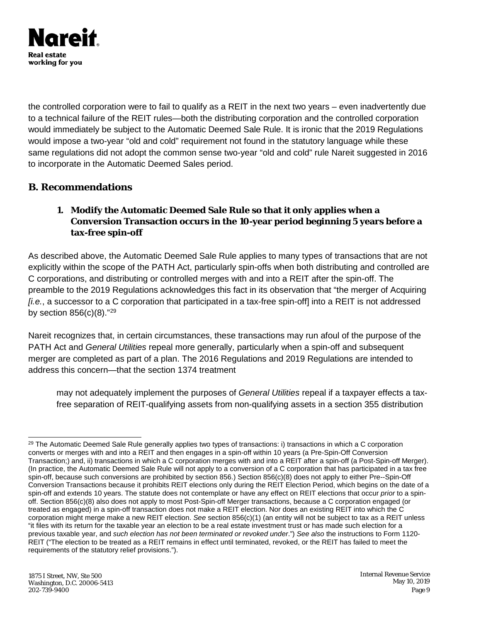

the controlled corporation were to fail to qualify as a REIT in the next two years – even inadvertently due to a technical failure of the REIT rules—both the distributing corporation and the controlled corporation would immediately be subject to the Automatic Deemed Sale Rule. It is ironic that the 2019 Regulations would impose a two-year "old and cold" requirement not found in the statutory language while these same regulations did not adopt the common sense two-year "old and cold" rule Nareit suggested in 2016 to incorporate in the Automatic Deemed Sales period.

## **B. Recommendations**

## **1. Modify the Automatic Deemed Sale Rule so that it only applies when a Conversion Transaction occurs in the 10-year period beginning 5 years before a tax-free spin-off**

As described above, the Automatic Deemed Sale Rule applies to many types of transactions that are not explicitly within the scope of the PATH Act, particularly spin-offs when both distributing and controlled are C corporations, and distributing or controlled merges with and into a REIT after the spin-off. The preamble to the 2019 Regulations acknowledges this fact in its observation that "the merger of Acquiring *[i.e.*, a successor to a C corporation that participated in a tax-free spin-off] into a REIT is not addressed by section  $856(c)(8)$ ."<sup>[29](#page-8-0)</sup>

Nareit recognizes that, in certain circumstances, these transactions may run afoul of the purpose of the PATH Act and *General Utilities* repeal more generally, particularly when a spin-off and subsequent merger are completed as part of a plan. The 2016 Regulations and 2019 Regulations are intended to address this concern—that the section 1374 treatment

may not adequately implement the purposes of *General Utilities* repeal if a taxpayer effects a taxfree separation of REIT-qualifying assets from non-qualifying assets in a section 355 distribution

<span id="page-8-0"></span> $29$  The Automatic Deemed Sale Rule generally applies two types of transactions: i) transactions in which a C corporation converts or merges with and into a REIT and then engages in a spin-off within 10 years (a Pre-Spin-Off Conversion Transaction;) and, ii) transactions in which a C corporation merges with and into a REIT after a spin-off (a Post-Spin-off Merger). (In practice, the Automatic Deemed Sale Rule will not apply to a conversion of a C corporation that has participated in a tax free spin-off, because such conversions are prohibited by section 856.) Section 856(c)(8) does not apply to either Pre--Spin-Off Conversion Transactions because it prohibits REIT elections only during the REIT Election Period, which begins on the date of a spin-off and extends 10 years. The statute does not contemplate or have any effect on REIT elections that occur *prior* to a spinoff. Section 856(c)(8) also does not apply to most Post-Spin-off Merger transactions, because a C corporation engaged (or treated as engaged) in a spin-off transaction does not make a REIT election. Nor does an existing REIT into which the C corporation might merge make a new REIT election. *See* section 856(c)(1) (an entity will not be subject to tax as a REIT unless "it files with its return for the taxable year an election to be a real estate investment trust or has made such election for a previous taxable year, and *such election has not been terminated or revoked under*.") *See also* the instructions to Form 1120- REIT ("The election to be treated as a REIT remains in effect until terminated, revoked, or the REIT has failed to meet the requirements of the statutory relief provisions.").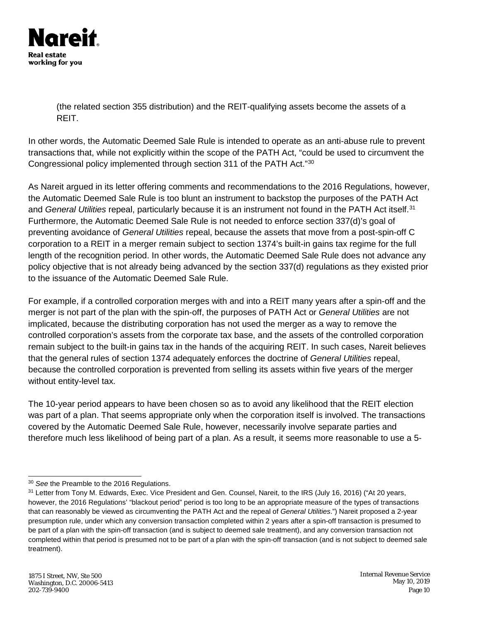

(the related section 355 distribution) and the REIT-qualifying assets become the assets of a REIT.

In other words, the Automatic Deemed Sale Rule is intended to operate as an anti-abuse rule to prevent transactions that, while not explicitly within the scope of the PATH Act, "could be used to circumvent the Congressional policy implemented through section 311 of the PATH Act."[30](#page-9-0)

As Nareit argued in its letter offering comments and recommendations to the 2016 Regulations, however, the Automatic Deemed Sale Rule is too blunt an instrument to backstop the purposes of the PATH Act and *General Utilities* repeal, particularly because it is an instrument not found in the PATH Act itself.[31](#page-9-1) Furthermore, the Automatic Deemed Sale Rule is not needed to enforce section 337(d)'s goal of preventing avoidance of *General Utilities* repeal, because the assets that move from a post-spin-off C corporation to a REIT in a merger remain subject to section 1374's built-in gains tax regime for the full length of the recognition period. In other words, the Automatic Deemed Sale Rule does not advance any policy objective that is not already being advanced by the section 337(d) regulations as they existed prior to the issuance of the Automatic Deemed Sale Rule.

For example, if a controlled corporation merges with and into a REIT many years after a spin-off and the merger is not part of the plan with the spin-off, the purposes of PATH Act or *General Utilities* are not implicated, because the distributing corporation has not used the merger as a way to remove the controlled corporation's assets from the corporate tax base, and the assets of the controlled corporation remain subject to the built-in gains tax in the hands of the acquiring REIT. In such cases, Nareit believes that the general rules of section 1374 adequately enforces the doctrine of *General Utilities* repeal, because the controlled corporation is prevented from selling its assets within five years of the merger without entity-level tax.

The 10-year period appears to have been chosen so as to avoid any likelihood that the REIT election was part of a plan. That seems appropriate only when the corporation itself is involved. The transactions covered by the Automatic Deemed Sale Rule, however, necessarily involve separate parties and therefore much less likelihood of being part of a plan. As a result, it seems more reasonable to use a 5-

<span id="page-9-0"></span> <sup>30</sup> *See* the Preamble to the 2016 Regulations.

<span id="page-9-1"></span><sup>&</sup>lt;sup>31</sup> [Letter f](https://www.reit.com/sites/default/files/NAREIT-Submission-on-Proposed-337(d)-Regulations(7-19-16).pdf)rom Tony M. Edwards, Exec. Vice President and Gen. Counsel, Nareit, to the IRS (July 16, 2016) ("At 20 years, however, the 2016 Regulations' "blackout period" period is too long to be an appropriate measure of the types of transactions that can reasonably be viewed as circumventing the PATH Act and the repeal of *General Utilities*.") Nareit proposed a 2-year presumption rule, under which any conversion transaction completed within 2 years after a spin-off transaction is presumed to be part of a plan with the spin-off transaction (and is subject to deemed sale treatment), and any conversion transaction not completed within that period is presumed not to be part of a plan with the spin-off transaction (and is not subject to deemed sale treatment).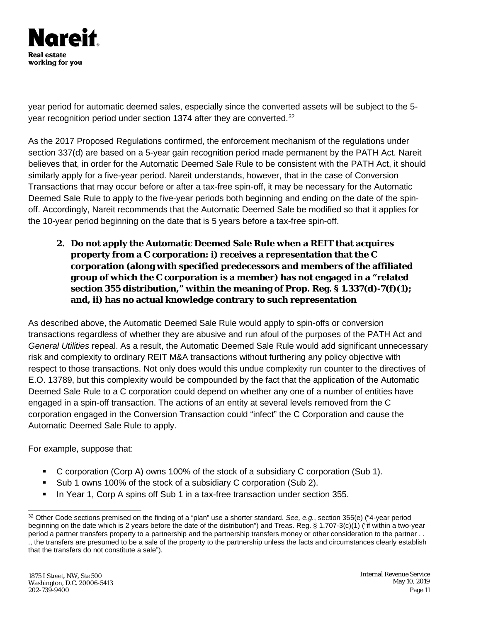

year period for automatic deemed sales, especially since the converted assets will be subject to the 5- year recognition period under section 1374 after they are converted.<sup>[32](#page-10-0)</sup>

As the 2017 Proposed Regulations confirmed, the enforcement mechanism of the regulations under section 337(d) are based on a 5-year gain recognition period made permanent by the PATH Act. Nareit believes that, in order for the Automatic Deemed Sale Rule to be consistent with the PATH Act, it should similarly apply for a five-year period. Nareit understands, however, that in the case of Conversion Transactions that may occur before or after a tax-free spin-off, it may be necessary for the Automatic Deemed Sale Rule to apply to the five-year periods both beginning and ending on the date of the spinoff. Accordingly, Nareit recommends that the Automatic Deemed Sale be modified so that it applies for the 10-year period beginning on the date that is 5 years before a tax-free spin-off.

**2. Do not apply the Automatic Deemed Sale Rule when a REIT that acquires property from a C corporation: i) receives a representation that the C corporation (along with specified predecessors and members of the affiliated group of which the C corporation is a member) has not engaged in a "related section 355 distribution," within the meaning of Prop. Reg. § 1.337(d)-7(f)(1); and, ii) has no actual knowledge contrary to such representation**

As described above, the Automatic Deemed Sale Rule would apply to spin-offs or conversion transactions regardless of whether they are abusive and run afoul of the purposes of the PATH Act and *General Utilities* repeal. As a result, the Automatic Deemed Sale Rule would add significant unnecessary risk and complexity to ordinary REIT M&A transactions without furthering any policy objective with respect to those transactions. Not only does would this undue complexity run counter to the directives of E.O. 13789, but this complexity would be compounded by the fact that the application of the Automatic Deemed Sale Rule to a C corporation could depend on whether any one of a number of entities have engaged in a spin-off transaction. The actions of an entity at several levels removed from the C corporation engaged in the Conversion Transaction could "infect" the C Corporation and cause the Automatic Deemed Sale Rule to apply.

For example, suppose that:

- C corporation (Corp A) owns 100% of the stock of a subsidiary C corporation (Sub 1).
- Sub 1 owns 100% of the stock of a subsidiary C corporation (Sub 2).
- **In Year 1, Corp A spins off Sub 1 in a tax-free transaction under section 355.**

<span id="page-10-0"></span> <sup>32</sup> Other Code sections premised on the finding of a "plan" use a shorter standard. *See, e.g.*, section 355(e) ("4-year period beginning on the date which is 2 years before the date of the distribution") and Treas. Reg. § 1.707-3(c)(1) ("if within a two-year period a partner transfers property to a partnership and the partnership transfers money or other consideration to the partner . . ., the transfers are presumed to be a sale of the property to the partnership unless the facts and circumstances clearly establish that the transfers do not constitute a sale").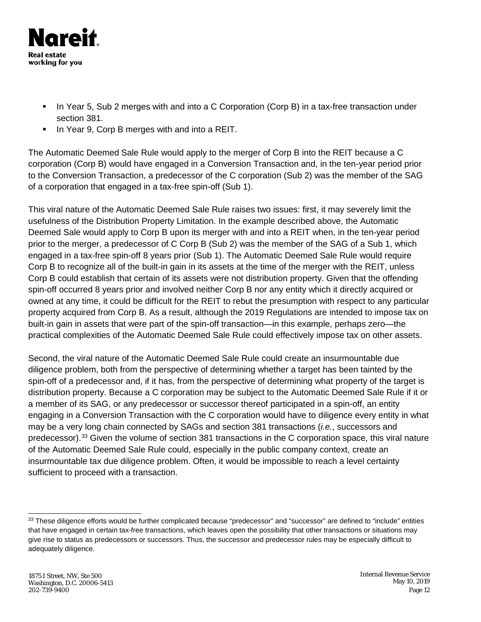

- In Year 5, Sub 2 merges with and into a C Corporation (Corp B) in a tax-free transaction under section 381.
- In Year 9, Corp B merges with and into a REIT.

The Automatic Deemed Sale Rule would apply to the merger of Corp B into the REIT because a C corporation (Corp B) would have engaged in a Conversion Transaction and, in the ten-year period prior to the Conversion Transaction, a predecessor of the C corporation (Sub 2) was the member of the SAG of a corporation that engaged in a tax-free spin-off (Sub 1).

This viral nature of the Automatic Deemed Sale Rule raises two issues: first, it may severely limit the usefulness of the Distribution Property Limitation. In the example described above, the Automatic Deemed Sale would apply to Corp B upon its merger with and into a REIT when, in the ten-year period prior to the merger, a predecessor of C Corp B (Sub 2) was the member of the SAG of a Sub 1, which engaged in a tax-free spin-off 8 years prior (Sub 1). The Automatic Deemed Sale Rule would require Corp B to recognize all of the built-in gain in its assets at the time of the merger with the REIT, unless Corp B could establish that certain of its assets were not distribution property. Given that the offending spin-off occurred 8 years prior and involved neither Corp B nor any entity which it directly acquired or owned at any time, it could be difficult for the REIT to rebut the presumption with respect to any particular property acquired from Corp B. As a result, although the 2019 Regulations are intended to impose tax on built-in gain in assets that were part of the spin-off transaction—in this example, perhaps zero—the practical complexities of the Automatic Deemed Sale Rule could effectively impose tax on other assets.

Second, the viral nature of the Automatic Deemed Sale Rule could create an insurmountable due diligence problem, both from the perspective of determining whether a target has been tainted by the spin-off of a predecessor and, if it has, from the perspective of determining what property of the target is distribution property. Because a C corporation may be subject to the Automatic Deemed Sale Rule if it or a member of its SAG, or any predecessor or successor thereof participated in a spin-off, an entity engaging in a Conversion Transaction with the C corporation would have to diligence every entity in what may be a very long chain connected by SAGs and section 381 transactions (*i.e.*, successors and predecessor).[33](#page-11-0) Given the volume of section 381 transactions in the C corporation space, this viral nature of the Automatic Deemed Sale Rule could, especially in the public company context, create an insurmountable tax due diligence problem. Often, it would be impossible to reach a level certainty sufficient to proceed with a transaction.

<span id="page-11-0"></span><sup>&</sup>lt;sup>33</sup> These diligence efforts would be further complicated because "predecessor" and "successor" are defined to "include" entities that have engaged in certain tax-free transactions, which leaves open the possibility that other transactions or situations may give rise to status as predecessors or successors. Thus, the successor and predecessor rules may be especially difficult to adequately diligence.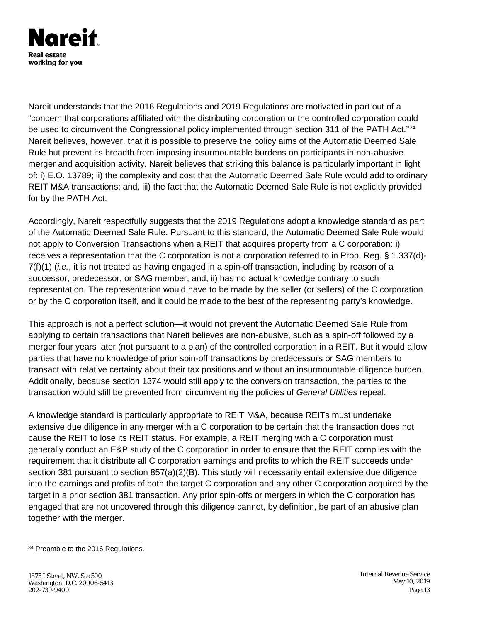

Nareit understands that the 2016 Regulations and 2019 Regulations are motivated in part out of a "concern that corporations affiliated with the distributing corporation or the controlled corporation could be used to circumvent the Congressional policy implemented through section 311 of the PATH Act."[34](#page-12-0) Nareit believes, however, that it is possible to preserve the policy aims of the Automatic Deemed Sale Rule but prevent its breadth from imposing insurmountable burdens on participants in non-abusive merger and acquisition activity. Nareit believes that striking this balance is particularly important in light of: i) E.O. 13789; ii) the complexity and cost that the Automatic Deemed Sale Rule would add to ordinary REIT M&A transactions; and, iii) the fact that the Automatic Deemed Sale Rule is not explicitly provided for by the PATH Act.

Accordingly, Nareit respectfully suggests that the 2019 Regulations adopt a knowledge standard as part of the Automatic Deemed Sale Rule. Pursuant to this standard, the Automatic Deemed Sale Rule would not apply to Conversion Transactions when a REIT that acquires property from a C corporation: i) receives a representation that the C corporation is not a corporation referred to in Prop. Reg. § 1.337(d)- 7(f)(1) (*i.e.*, it is not treated as having engaged in a spin-off transaction, including by reason of a successor, predecessor, or SAG member; and, ii) has no actual knowledge contrary to such representation. The representation would have to be made by the seller (or sellers) of the C corporation or by the C corporation itself, and it could be made to the best of the representing party's knowledge.

This approach is not a perfect solution—it would not prevent the Automatic Deemed Sale Rule from applying to certain transactions that Nareit believes are non-abusive, such as a spin-off followed by a merger four years later (not pursuant to a plan) of the controlled corporation in a REIT. But it would allow parties that have no knowledge of prior spin-off transactions by predecessors or SAG members to transact with relative certainty about their tax positions and without an insurmountable diligence burden. Additionally, because section 1374 would still apply to the conversion transaction, the parties to the transaction would still be prevented from circumventing the policies of *General Utilities* repeal.

A knowledge standard is particularly appropriate to REIT M&A, because REITs must undertake extensive due diligence in any merger with a C corporation to be certain that the transaction does not cause the REIT to lose its REIT status. For example, a REIT merging with a C corporation must generally conduct an E&P study of the C corporation in order to ensure that the REIT complies with the requirement that it distribute all C corporation earnings and profits to which the REIT succeeds under section 381 pursuant to section 857(a)(2)(B). This study will necessarily entail extensive due diligence into the earnings and profits of both the target C corporation and any other C corporation acquired by the target in a prior section 381 transaction. Any prior spin-offs or mergers in which the C corporation has engaged that are not uncovered through this diligence cannot, by definition, be part of an abusive plan together with the merger.

<span id="page-12-0"></span><sup>&</sup>lt;sup>34</sup> Preamble to the 2016 Regulations.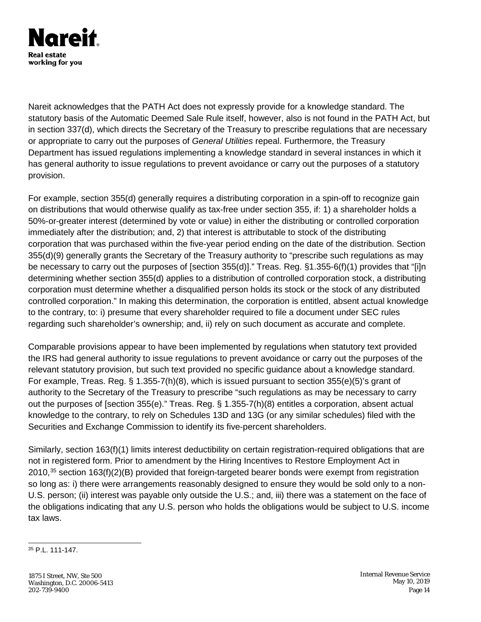

Nareit acknowledges that the PATH Act does not expressly provide for a knowledge standard. The statutory basis of the Automatic Deemed Sale Rule itself, however, also is not found in the PATH Act, but in section 337(d), which directs the Secretary of the Treasury to prescribe regulations that are necessary or appropriate to carry out the purposes of *General Utilities* repeal. Furthermore, the Treasury Department has issued regulations implementing a knowledge standard in several instances in which it has general authority to issue regulations to prevent avoidance or carry out the purposes of a statutory provision.

For example, section 355(d) generally requires a distributing corporation in a spin-off to recognize gain on distributions that would otherwise qualify as tax-free under section 355, if: 1) a shareholder holds a 50%-or-greater interest (determined by vote or value) in either the distributing or controlled corporation immediately after the distribution; and, 2) that interest is attributable to stock of the distributing corporation that was purchased within the five-year period ending on the date of the distribution. Section 355(d)(9) generally grants the Secretary of the Treasury authority to "prescribe such regulations as may be necessary to carry out the purposes of [section 355(d)]." Treas. Reg. §1.355-6(f)(1) provides that "[i]n determining whether section 355(d) applies to a distribution of controlled corporation stock, a distributing corporation must determine whether a disqualified person holds its stock or the stock of any distributed controlled corporation." In making this determination, the corporation is entitled, absent actual knowledge to the contrary, to: i) presume that every shareholder required to file a document under SEC rules regarding such shareholder's ownership; and, ii) rely on such document as accurate and complete.

Comparable provisions appear to have been implemented by regulations when statutory text provided the IRS had general authority to issue regulations to prevent avoidance or carry out the purposes of the relevant statutory provision, but such text provided no specific guidance about a knowledge standard. For example, Treas. Reg. § 1.355-7(h)(8), which is issued pursuant to section 355(e)(5)'s grant of authority to the Secretary of the Treasury to prescribe "such regulations as may be necessary to carry out the purposes of [section 355(e)." Treas. Reg. § 1.355-7(h)(8) entitles a corporation, absent actual knowledge to the contrary, to rely on Schedules 13D and 13G (or any similar schedules) filed with the Securities and Exchange Commission to identify its five-percent shareholders.

Similarly, section 163(f)(1) limits interest deductibility on certain registration-required obligations that are not in registered form. Prior to amendment by the Hiring Incentives to Restore Employment Act in 2010,[35](#page-13-0) section 163(f)(2)(B) provided that foreign-targeted bearer bonds were exempt from registration so long as: i) there were arrangements reasonably designed to ensure they would be sold only to a non-U.S. person; (ii) interest was payable only outside the U.S.; and, iii) there was a statement on the face of the obligations indicating that any U.S. person who holds the obligations would be subject to U.S. income tax laws.

<span id="page-13-0"></span>35 P.L. 111-147.

1875 I Street, NW, Ste 500 Washington, D.C. 20006-5413 202-739-9400

Internal Revenue Service May 10, 2019 Page 14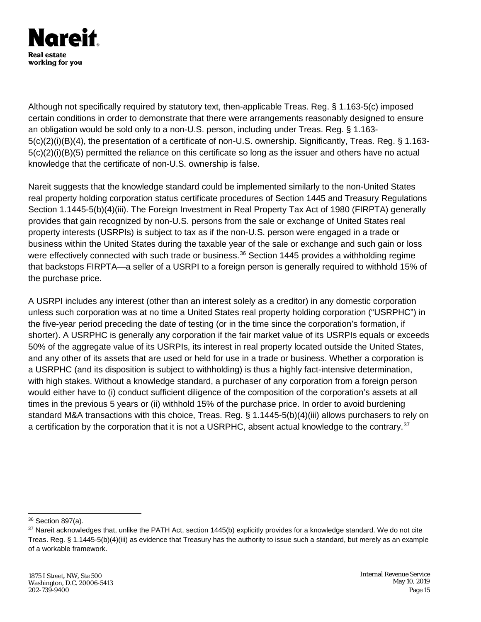

Although not specifically required by statutory text, then-applicable Treas. Reg. § 1.163-5(c) imposed certain conditions in order to demonstrate that there were arrangements reasonably designed to ensure an obligation would be sold only to a non-U.S. person, including under Treas. Reg. § 1.163- 5(c)(2)(i)(B)(4), the presentation of a certificate of non-U.S. ownership. Significantly, Treas. Reg. § 1.163- 5(c)(2)(i)(B)(5) permitted the reliance on this certificate so long as the issuer and others have no actual knowledge that the certificate of non-U.S. ownership is false.

Nareit suggests that the knowledge standard could be implemented similarly to the non-United States real property holding corporation status certificate procedures of Section 1445 and Treasury Regulations Section 1.1445-5(b)(4)(iii). The Foreign Investment in Real Property Tax Act of 1980 (FIRPTA) generally provides that gain recognized by non-U.S. persons from the sale or exchange of United States real property interests (USRPIs) is subject to tax as if the non-U.S. person were engaged in a trade or business within the United States during the taxable year of the sale or exchange and such gain or loss were effectively connected with such trade or business.<sup>[36](#page-14-0)</sup> Section 1445 provides a withholding regime that backstops FIRPTA—a seller of a USRPI to a foreign person is generally required to withhold 15% of the purchase price.

A USRPI includes any interest (other than an interest solely as a creditor) in any domestic corporation unless such corporation was at no time a United States real property holding corporation ("USRPHC") in the five-year period preceding the date of testing (or in the time since the corporation's formation, if shorter). A USRPHC is generally any corporation if the fair market value of its USRPIs equals or exceeds 50% of the aggregate value of its USRPIs, its interest in real property located outside the United States, and any other of its assets that are used or held for use in a trade or business. Whether a corporation is a USRPHC (and its disposition is subject to withholding) is thus a highly fact-intensive determination, with high stakes. Without a knowledge standard, a purchaser of any corporation from a foreign person would either have to (i) conduct sufficient diligence of the composition of the corporation's assets at all times in the previous 5 years or (ii) withhold 15% of the purchase price. In order to avoid burdening standard M&A transactions with this choice, Treas. Reg. § 1.1445-5(b)(4)(iii) allows purchasers to rely on a certification by the corporation that it is not a USRPHC, absent actual knowledge to the contrary.<sup>[37](#page-14-1)</sup>

<span id="page-14-0"></span> <sup>36</sup> Section 897(a).

<span id="page-14-1"></span><sup>&</sup>lt;sup>37</sup> Nareit acknowledges that, unlike the PATH Act, section 1445(b) explicitly provides for a knowledge standard. We do not cite Treas. Reg. § 1.1445-5(b)(4)(iii) as evidence that Treasury has the authority to issue such a standard, but merely as an example of a workable framework.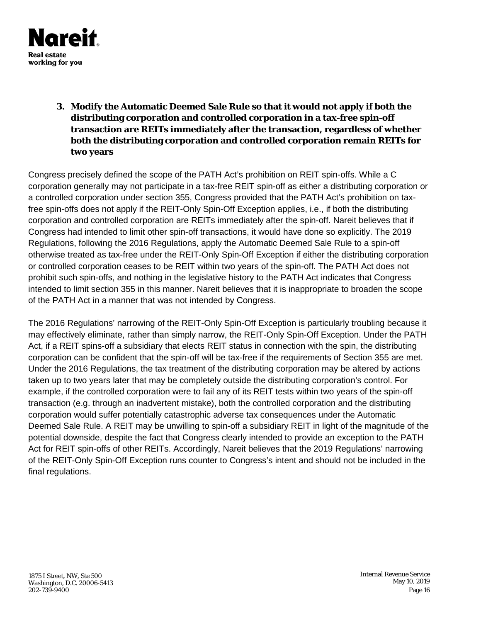

**3. Modify the Automatic Deemed Sale Rule so that it would not apply if both the distributing corporation and controlled corporation in a tax-free spin-off transaction are REITs immediately after the transaction, regardless of whether both the distributing corporation and controlled corporation remain REITs for two years**

Congress precisely defined the scope of the PATH Act's prohibition on REIT spin-offs. While a C corporation generally may not participate in a tax-free REIT spin-off as either a distributing corporation or a controlled corporation under section 355, Congress provided that the PATH Act's prohibition on taxfree spin-offs does not apply if the REIT-Only Spin-Off Exception applies, i.e., if both the distributing corporation and controlled corporation are REITs immediately after the spin-off. Nareit believes that if Congress had intended to limit other spin-off transactions, it would have done so explicitly. The 2019 Regulations, following the 2016 Regulations, apply the Automatic Deemed Sale Rule to a spin-off otherwise treated as tax-free under the REIT-Only Spin-Off Exception if either the distributing corporation or controlled corporation ceases to be REIT within two years of the spin-off. The PATH Act does not prohibit such spin-offs, and nothing in the legislative history to the PATH Act indicates that Congress intended to limit section 355 in this manner. Nareit believes that it is inappropriate to broaden the scope of the PATH Act in a manner that was not intended by Congress.

The 2016 Regulations' narrowing of the REIT-Only Spin-Off Exception is particularly troubling because it may effectively eliminate, rather than simply narrow, the REIT-Only Spin-Off Exception. Under the PATH Act, if a REIT spins-off a subsidiary that elects REIT status in connection with the spin, the distributing corporation can be confident that the spin-off will be tax-free if the requirements of Section 355 are met. Under the 2016 Regulations, the tax treatment of the distributing corporation may be altered by actions taken up to two years later that may be completely outside the distributing corporation's control. For example, if the controlled corporation were to fail any of its REIT tests within two years of the spin-off transaction (e.g. through an inadvertent mistake), both the controlled corporation and the distributing corporation would suffer potentially catastrophic adverse tax consequences under the Automatic Deemed Sale Rule. A REIT may be unwilling to spin-off a subsidiary REIT in light of the magnitude of the potential downside, despite the fact that Congress clearly intended to provide an exception to the PATH Act for REIT spin-offs of other REITs. Accordingly, Nareit believes that the 2019 Regulations' narrowing of the REIT-Only Spin-Off Exception runs counter to Congress's intent and should not be included in the final regulations.